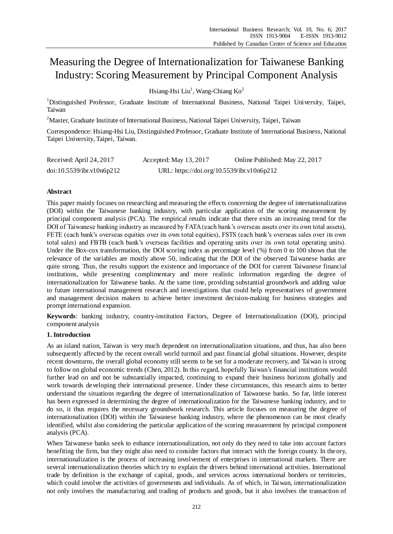# Measuring the Degree of Internationalization for Taiwanese Banking Industry: Scoring Measurement by Principal Component Analysis

Hsiang-Hsi Liu<sup>1</sup>, Wang-Chiang Ko<sup>2</sup>

<sup>1</sup>Distinguished Professor, Graduate Institute of International Business, National Taipei University, Taipei, Taiwan

<sup>2</sup>Master, Graduate Institute of International Business, National Taipei University, Taipei, Taiwan

Correspondence: Hsiang-Hsi Liu, Distinguished Professor, Graduate Institute of International Business, National Taipei University, Taipei, Taiwan.

| Received: April 24, 2017  | Accepted: May 13, 2017                     | Online Published: May 22, 2017 |
|---------------------------|--------------------------------------------|--------------------------------|
| doi:10.5539/ibr.v10n6p212 | URL: https://doi.org/10.5539/ibr.v10n6p212 |                                |

# **Abstract**

This paper mainly focuses on researching and measuring the effects concerning the degree of internationalization (DOI) within the Taiwanese banking industry, with particular application of the scoring measurement by principal component analysis (PCA). The empirical results indicate that there exits an increasing trend for the DOI of Taiwanese banking industry as measured by FATA (each bank's overseas assets over its own total assets), FETE (each bank's overseas equities over its own total equities), FSTS (each bank's overseas sales over its own total sales) and FBTB (each bank's overseas facilities and operating units over its own total operating units). Under the Box-cox transformation, the DOI scoring index as percentage level (%) from 0 to 100 shows that the relevance of the variables are mostly above 50, indicating that the DOI of the observed Taiwanese banks are quite strong. Thus, the results support the existence and importance of the DOI for current Taiwanese financial institutions, while presenting complimentary and more realistic information regarding the degree of internationalization for Taiwanese banks. At the same time, providing substantial groundwork and adding value to future international management research and investigations that could help representatives of government and management decision makers to achieve better investment decision-making for business strategies and prompt international expansion.

**Keywords**: banking industry, country-institution Factors, Degree of Internationalization (DOI), principal component analysis

## **1. Introduction**

As an island nation, Taiwan is very much dependent on internationalization situations, and thus, has also been subsequently affected by the recent overall world turmoil and past financial global situations. However, despite recent downturns, the overall global economy still seems to be set for a moderate recovery, and Taiwan is strong to follow on global economic trends (Chen, 2012). In this regard, hopefully Taiwan's financial institutions would further lead on and not be substantially impacted, continuing to expand their business horizons globally and work towards developing their international presence. Under these circumstances, this research aims to better understand the situations regarding the degree of internationalization of Taiwanese banks. So far, little interest has been expressed in determining the degree of internationalization for the Taiwanese banking industry, and to do so, it thus requires the necessary groundwork research. This article focuses on measuring the degree of internationalization (DOI) within the Taiwanese banking industry, where the phenomenon can be most clearly identified, whilst also considering the particular application of the scoring measurement by principal component analysis (PCA).

When Taiwanese banks seek to enhance internationalization, not only do they need to take into account factors benefiting the firm, but they might also need to consider factors that interact with the foreign county. In theory, internationalization is the process of increasing involvement of enterprises in international markets. There are several internationalization theories which try to explain the drivers behind international activities. International trade by definition is the exchange of capital, goods, and services across international borders or territories, which could involve the activities of governments and individuals. As of which, in Taiwan, internationalization not only involves the manufacturing and trading of products and goods, but it also involves the transaction of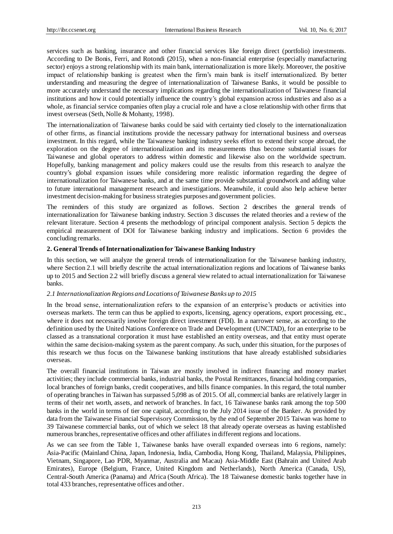services such as banking, insurance and other financial services like foreign direct (portfolio) investments. According to De Bonis, Ferri, and Rotondi (2015), when a non-financial enterprise (especially manufacturing sector) enjoys a strong relationship with its main bank, internationalization is more likely. Moreover, the positive impact of relationship banking is greatest when the firm's main bank is itself internationalized. By better understanding and measuring the degree of internationalization of Taiwanese Banks, it would be possible to more accurately understand the necessary implications regarding the internationalization of Taiwanese financial institutions and how it could potentially influence the country's global expansion across industries and also as a whole, as financial service companies often play a crucial role and have a close relationship with other firms that invest overseas (Seth, Nolle & Mohanty, 1998).

The internationalization of Taiwanese banks could be said with certainty tied closely to the internationalization of other firms, as financial institutions provide the necessary pathway for international business and overseas investment. In this regard, while the Taiwanese banking industry seeks effort to extend their scope abroad, the exploration on the degree of internationalization and its measurements thus become substantial issues for Taiwanese and global operators to address within domestic and likewise also on the worldwide spectrum. Hopefully, banking management and policy makers could use the results from this research to analyze the country's global expansion issues while considering more realistic information regarding the degree of internationalization for Taiwanese banks, and at the same time provide substantial groundwork and adding value to future international management research and investigations. Meanwhile, it could also help achieve better investment decision-making for business strategies purposes and government policies.

The reminders of this study are organized as follows. Section 2 describes the general trends of internationalization for Taiwanese banking industry. Section 3 discusses the related theories and a review of the relevant literature. Section 4 presents the methodology of principal component analysis. Section 5 depicts the empirical measurement of DOI for Taiwanese banking industry and implications. Section 6 provides the concluding remarks.

## **2. General Trends of Internationalization for Taiwanese Banking Industry**

In this section, we will analyze the general trends of internationalization for the Taiwanese banking industry, where Section 2.1 will briefly describe the actual internationalization regions and locations of Taiwanese banks up to 2015 and Section 2.2 will briefly discuss a general view related to actual internationalization for Taiwanese banks.

## *2.1 Internationalization Regions and Locations of Taiwanese Banks up to 2015*

In the broad sense, internationalization refers to the expansion of an enterprise's products or activities into overseas markets. The term can thus be applied to exports, licensing, agency operations, export processing, etc., where it does not necessarily involve foreign direct investment (FDI). In a narrower sense, as according to the definition used by the United Nations Conference on Trade and Development (UNCTAD), for an enterprise to be classed as a transnational corporation it must have established an entity overseas, and that entity must operate within the same decision-making system as the parent company. As such, under this situation, for the purposes of this research we thus focus on the Taiwanese banking institutions that have already established subsidiaries overseas.

The overall financial institutions in Taiwan are mostly involved in indirect financing and money market activities; they include commercial banks, industrial banks, the Postal Remittances, financial holding companies, local branches of foreign banks, credit cooperatives, and bills finance companies. In this regard, the total number of operating branches in Taiwan has surpassed 5,098 as of 2015. Of all, commercial banks are relatively larger in terms of their net worth, assets, and network of branches. In fact, 16 Taiwanese banks rank among the top 500 banks in the world in terms of tier one capital, according to the July 2014 issue of the Banker. As provided by data from the Taiwanese Financial Supervisory Commission, by the end of September 2015 Taiwan was home to 39 Taiwanese commercial banks, out of which we select 18 that already operate overseas as having established numerous branches, representative offices and other affiliates in different regions and locations.

As we can see from the Table 1, Taiwanese banks have overall expanded overseas into 6 regions, namely: Asia-Pacific (Mainland China, Japan, Indonesia, India, Cambodia, Hong Kong, Thailand, Malaysia, Philippines, Vietnam, Singapore, Lao PDR, Myanmar, Australia and Macau) Asia-Middle East (Bahrain and United Arab Emirates), Europe (Belgium, France, United Kingdom and Netherlands), North America (Canada, US), Central-South America (Panama) and Africa (South Africa). The 18 Taiwanese domestic banks together have in total 433 branches, representative offices and other.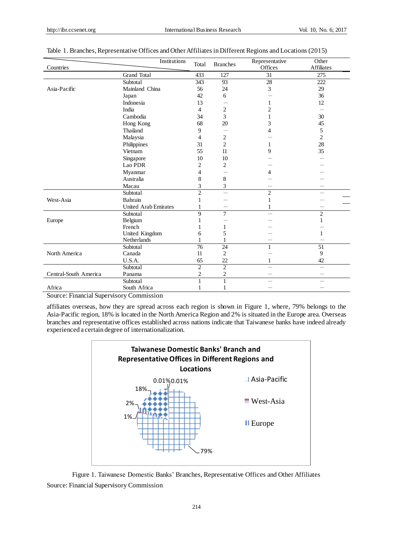| Countries             | Institutions                | Total          | <b>Branches</b> | Representative<br>Offices | Other<br><b>Affiliates</b> |
|-----------------------|-----------------------------|----------------|-----------------|---------------------------|----------------------------|
|                       | <b>Grand Total</b>          | 433            | 127             | 31                        | 275                        |
|                       | Subtotal                    | 343            | 93              | 28                        | 222                        |
| Asia-Pacific          | Mainland China              | 56             | 24              | 3                         | 29                         |
|                       | Japan                       | 42             | 6               |                           | 36                         |
|                       | Indonesia                   | 13             |                 | 1                         | 12                         |
|                       | India                       | $\overline{4}$ | $\overline{2}$  | $\overline{c}$            |                            |
|                       | Cambodia                    | 34             | 3               |                           | 30                         |
|                       | Hong Kong                   | 68             | 20              | 3                         | 45                         |
|                       | Thailand                    | 9              |                 | 4                         | 5                          |
|                       | Malaysia                    | 4              | $\overline{c}$  |                           | $\overline{2}$             |
|                       | Philippines                 | 31             | $\overline{c}$  | 1                         | 28                         |
|                       | Vietnam                     | 55             | 11              | 9                         | 35                         |
|                       | Singapore                   | 10             | 10              |                           |                            |
|                       | Lao PDR                     | 2              | 2               |                           |                            |
|                       | Myanmar                     | 4              |                 | 4                         |                            |
|                       | Australia                   | 8              | 8               |                           |                            |
|                       | Macau                       | 3              | 3               |                           |                            |
|                       | Subtotal                    | $\overline{2}$ | $\equiv$        | $\overline{c}$            |                            |
| West-Asia             | Bahrain                     | 1              |                 | 1                         |                            |
|                       | <b>United Arab Emirates</b> |                |                 | 1                         |                            |
|                       | Subtotal                    | 9              | $\overline{7}$  |                           | $\overline{c}$             |
| Europe                | Belgium                     |                |                 |                           | 1                          |
|                       | French                      |                | 1               |                           |                            |
|                       | United Kingdom              | 6              | 5               |                           | 1                          |
|                       | Netherlands                 |                |                 |                           |                            |
|                       | Subtotal                    | 76             | 24              | 1                         | 51                         |
| North America         | Canada                      | 11             | 2               |                           | 9                          |
|                       | U.S.A.                      | 65             | 22              | 1                         | 42                         |
|                       | Subtotal                    | $\overline{c}$ | $\overline{2}$  |                           |                            |
| Central-South America | Panama                      | 2              | $\sqrt{2}$      |                           |                            |
|                       | Subtotal                    |                | 1               |                           |                            |
| Africa                | South Africa                |                |                 |                           |                            |

|  | Table 1. Branches, Representative Offices and Other Affiliates in Different Regions and Locations (2015) |  |  |  |  |
|--|----------------------------------------------------------------------------------------------------------|--|--|--|--|
|  |                                                                                                          |  |  |  |  |

Source: Financial Supervisory Commission

affiliates overseas, how they are spread across each region is shown in Figure 1, where, 79% belongs to the Asia-Pacific region, 18% is located in the North America Region and 2% is situated in the Europe area. Overseas branches and representative offices established across nations indicate that Taiwanese banks have indeed already experienced a certain degree of internationalization.



Figure 1. Taiwanese Domestic Banks' Branches, Representative Offices and Other Affiliates Source: Financial Supervisory Commission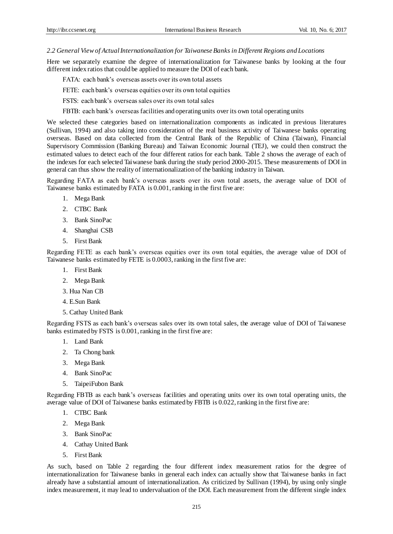### *2.2 General View of Actual Internationalization for Taiwanese Banks in Different Regions and Locations*

Here we separately examine the degree of internationalization for Taiwanese banks by looking at the four different index ratios that could be applied to measure the DOI of each bank.

FATA: each bank's overseas assets over its own total assets

FETE: each bank's overseas equities over its own total equities

FSTS: each bank's overseas sales over its own total sales

FBTB: each bank's overseas facilities and operating units over its own total operating units

We selected these categories based on internationalization components as indicated in previous literatures (Sullivan, 1994) and also taking into consideration of the real business activity of Taiwanese banks operating overseas. Based on data collected from the Central Bank of the Republic of China (Taiwan), Financial Supervisory Commission (Banking Bureau) and Taiwan Economic Journal (TEJ), we could then construct the estimated values to detect each of the four different ratios for each bank. Table 2 shows the average of each of the indexes for each selected Taiwanese bank during the study period 2000-2015. These measurements of DOI in general can thus show the reality of internationalization of the banking industry in Taiwan.

Regarding FATA as each bank's overseas assets over its own total assets, the average value of DOI of Taiwanese banks estimated by FATA is 0.001, ranking in the first five are:

- 1. Mega Bank
- 2. CTBC Bank
- 3. Bank SinoPac
- 4. Shanghai CSB
- 5. First Bank

Regarding FETE as each bank's overseas equities over its own total equities, the average value of DOI of Taiwanese banks estimated by FETE is 0.0003, ranking in the first five are:

- 1. First Bank
- 2. Mega Bank
- 3. Hua Nan CB
- 4. E.Sun Bank
- 5. Cathay United Bank

Regarding FSTS as each bank's overseas sales over its own total sales, the average value of DOI of Taiwanese banks estimated by FSTS is 0.001, ranking in the first five are:

- 1. Land Bank
- 2. Ta Chong bank
- 3. Mega Bank
- 4. Bank SinoPac
- 5. TaipeiFubon Bank

Regarding FBTB as each bank's overseas facilities and operating units over its own total operating units, the average value of DOI of Taiwanese banks estimated by FBTB is 0.022, ranking in the first five are:

- 1. CTBC Bank
- 2. Mega Bank
- 3. Bank SinoPac
- 4. Cathay United Bank
- 5. First Bank

As such, based on Table 2 regarding the four different index measurement ratios for the degree of internationalization for Taiwanese banks in general each index can actually show that Taiwanese banks in fact already have a substantial amount of internationalization. As criticized by Sullivan (1994), by using only single index measurement, it may lead to undervaluation of the DOI. Each measurement from the different single index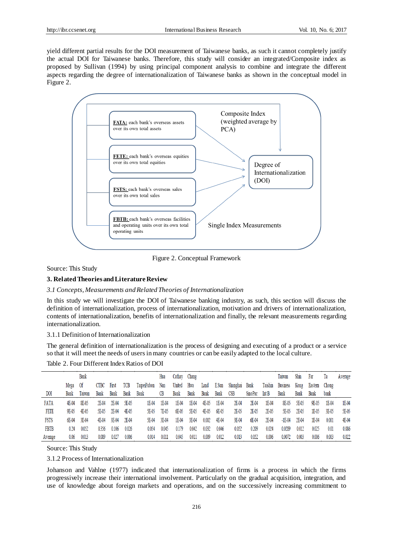yield different partial results for the DOI measurement of Taiwanese banks, as such it cannot completely justify the actual DOI for Taiwanese banks. Therefore, this study will consider an integrated/Composite index as proposed by Sullivan (1994) by using principal component analysis to combine and integrate the different aspects regarding the degree of internationalization of Taiwanese banks as shown in the conceptual model in Figure 2.



Figure 2. Conceptual Framework

Source: This Study

## **3. Related Theories and Literature Review**

## *3.1 Concepts, Measurements and Related Theories of Internationalization*

In this study we will investigate the DOI of Taiwanese banking industry, as such, this section will discuss the definition of internationalization, process of internationalization, motivation and drivers of internationalization, contents of internationalization, benefits of internationalization and finally, the relevant measurements regarding internationalization.

## 3.1.1 Definition of Internationalization

The general definition of internationalization is the process of designing and executing of a product or a service so that it will meet the needs of users in many countries or can be easily adapted to the local culture.

|             |       | Bank   |       |       |       |                 | Hua     | Cathay Chang |              |       |       |               |                |         | Taiwan          | Shin  | Far    | Ta    | Average |
|-------------|-------|--------|-------|-------|-------|-----------------|---------|--------------|--------------|-------|-------|---------------|----------------|---------|-----------------|-------|--------|-------|---------|
|             | Mega  | - Of   | CTBC  | First | TCB   | TaipeiFubon Nan |         | United       | Hwa          | Land  | E.Sun | Shanghai Bank |                | Taishin | <b>Business</b> | Kong  | Eastem | Chong |         |
| DOI         | Bank  | Taiwan | Bank  | Bank  | Bank  | Bank            | CB      | Bank         | Bank         | Bank  | Bank  | CSB           | <b>SinoPac</b> | Int B   | Bank            | Bank  | Bank   | bank  |         |
| <b>FATA</b> | 4E-04 | 8E-05  | 2E-04 | 2E-04 | 5E-05 | 1E-04           | 1E-04   | 1E-04        | 1E-04        | 4E-05 | 1E-04 | 2E-04         | 2E-04          | 1E-04   | 8E-05           | 5E 05 | 9E-05  | 1E-04 | 1E-04   |
| FETE        | 9E 05 | 4E-05  | 5E 05 | 2E-04 | 4E 05 | SE 05           | 7E-05   | 6E 05        | <b>SE-05</b> | 4E 05 | 6E-05 | 2E 05         | 2E-05          | 2E 05   | 5E-05           | 2E 05 | 1E-05  | 3E-05 | 5E-05   |
| <b>FSTS</b> | 6E-04 | 3E-04  | 4E-04 | 3E-04 | 2E-04 | 5E-04           | $3E-04$ | 1E-04        | 3E-04        | 0.002 | 4E-04 | 3E-04         | 6E-04          | 2E-04   | $-1E-04$        | 2E-04 | 1E-04  | 0.001 | 4E-04   |
| FBTB        | 0.24  | 0.052  | 0.356 | 0.106 | 0.026 | 0.054           | 0.045   | 0.179        | 0.042        | 0.032 | 0.046 | 0.052         | 0.209          | 0.024   | 0.0289          | 0.012 | 0.025  | 0.01  | 0.086   |
| Average     | 0.06  | 0.013  | 0.089 | 0.027 | 0.006 | 0.014           | 0.011   | 0.045        | 0.011        | 0.009 | 0.012 | 0.013         | 0.052          | 0.006   | 0.0072          | 0.003 | 0.006  | 0.003 | 0.022   |

# Table 2. Four Different Index Ratios of DOI

Source: This Study

## 3.1.2 Process of Internationalization

Johanson and Vahlne (1977) indicated that internationalization of firms is a process in which the firms progressively increase their international involvement. Particularly on the gradual acquisition, integration, and use of knowledge about foreign markets and operations, and on the successively increasing commitment to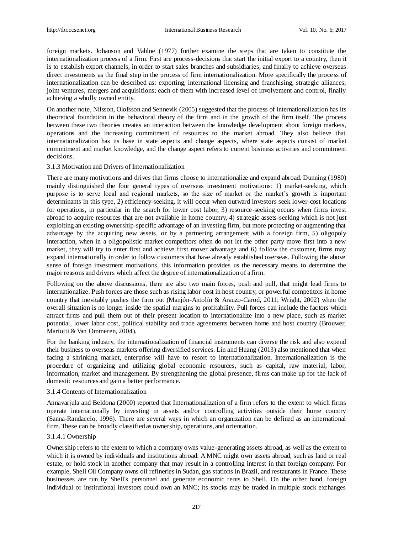foreign markets. Johanson and Vahlne (1977) further examine the steps that are taken to constitute the internationalization process of a firm. First are process-decisions that start the initial export to a country, then it is to establish export channels, in order to start sales branches and subsidiaries, and finally to achieve overseas direct investments as the final step in the process of firm internationalization. More specifically the proce ss of internationalization can be described as: exporting, international licensing and franchising, strategic alliances, joint ventures, mergers and acquisitions; each of them with increased level of involvement and control, finally achieving a wholly owned entity.

On another note, Nilsson, Olofsson and Sennevik (2005) suggested that the process of internationalization has its theoretical foundation in the behavioral theory of the firm and in the growth of the firm itself. The process between these two theories creates an interaction between the knowledge development about foreign markets, operations and the increasing commitment of resources to the market abroad. They also believe that internationalization has its base in state aspects and change aspects, where state aspects consist of market commitment and market knowledge, and the change aspect refers to current business activities and commitment decisions.

## 3.1.3 Motivation and Drivers of Internationalization

There are many motivations and drives that firms choose to internationalize and expand abroad. Dunning (1980) mainly distinguished the four general types of overseas investment motivations: 1) market-seeking, which purpose is to serve local and regional markets, so the size of market or the market's growth is important determinants in this type, 2) efficiency-seeking, it will occur when outward investors seek lower-cost locations for operations, in particular in the search for lower cost labor, 3) resource-seeking occurs when firms invest abroad to acquire resources that are not available in home country, 4) strategic assets-seeking which is not just exploiting an existing ownership-specific advantage of an investing firm, but more protecting or augmenting that advantage by the acquiring new assets, or by a partnering arrangement with a foreign firm, 5) oligopoly interaction, when in a oligopolistic market competitors often do not let the other party move first into a new market, they will try to enter first and achieve first mover advantage and 6) follow the customer, firms may expand internationally in order to follow customers that have already established overseas. Following the above sense of foreign investment motivations, this information provides us the necessary means to determine the major reasons and drivers which affect the degree of internationalization of a firm.

Following on the above discussions, there are also two main forces, push and pull, that might lead firms to internationalize. Push forces are those such as rising labor cost in host country, or powerful competitors in home country that inevitably pushes the firm out (Manjón-Antolín & Arauzo-Carod, 2011; Wright, 2002) when the overall situation is no longer inside the spatial margins to profitability. Pull forces can include the fac tors which attract firms and pull them out of their present location to internationalize into a new place, such as market potential, lower labor cost, political stability and trade agreements between home and host country (Brouwer, Mariotti & Van Ommeren, 2004).

For the banking industry, the internationalization of financial instruments can diverse the risk and also expend their business to overseas markets offering diversified services. Lin and Huang (2013) also mentioned that when facing a shrinking market, enterprise will have to resort to internationalization. Internationalization is the procedure of organizing and utilizing global economic resources, such as capital, raw material, labor, information, market and management. By strengthening the global presence, firms can make up for the lack of domestic resources and gain a better performance.

## 3.1.4 Contents of Internationalization

Annavarjula and Beldona (2000) reported that Internationalization of a firm refers to the extent to which firms operate internationally by investing in assets and/or controlling activities outside their home country (Sanna-Randaccio, 1996). There are several ways in which an organization can be defined as an international firm. These can be broadly classified as ownership, operations, and orientation.

## 3.1.4.1 Ownership

Ownership refers to the extent to which a company owns value-generating assets abroad, as well as the extent to which it is owned by individuals and institutions abroad. A MNC might own assets abroad, such as land or real estate, or hold stock in another company that may result in a controlling interest in that foreign company. For example, Shell Oil Company owns oil refineries in Sudan, gas stations in Brazil, and restaurants in France. These businesses are run by Shell's personnel and generate economic rents to Shell. On the other hand, foreign individual or institutional investors could own an MNC; its stocks may be traded in multiple stock exchanges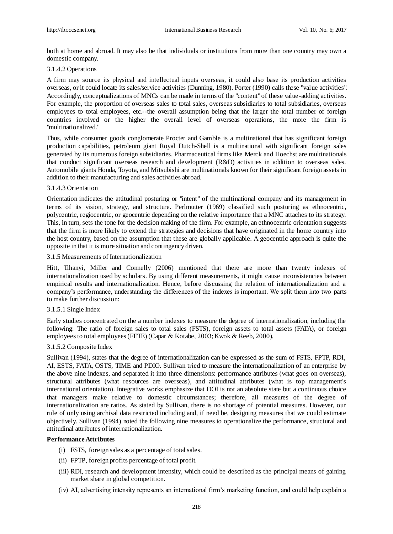both at home and abroad. It may also be that individuals or institutions from more than one country may own a domestic company.

## 3.1.4.2 Operations

A firm may source its physical and intellectual inputs overseas, it could also base its production activities overseas, or it could locate its sales/service activities (Dunning, 1980). Porter (1990) calls these "value activities". Accordingly, conceptualizations of MNCs can be made in terms of the "content" of these value-adding activities. For example, the proportion of overseas sales to total sales, overseas subsidiaries to total subsidiaries, overseas employees to total employees, etc.--the overall assumption being that the larger the total number of foreign countries involved or the higher the overall level of overseas operations, the more the firm is "multinationalized."

Thus, while consumer goods conglomerate Procter and Gamble is a multinational that has significant foreign production capabilities, petroleum giant Royal Dutch-Shell is a multinational with significant foreign sales generated by its numerous foreign subsidiaries. Pharmaceutical firms like Merck and Hoechst are multinationals that conduct significant overseas research and development (R&D) activities in addition to overseas sales. Automobile giants Honda, Toyota, and Mitsubishi are multinationals known for their significant foreign assets in addition to their manufacturing and sales activities abroad.

# 3.1.4.3 Orientation

Orientation indicates the attitudinal posturing or "intent" of the multinational company and its management in terms of its vision, strategy, and structure. Perlmutter (1969) classified such posturing as ethnocentric, polycentric, regiocentric, or geocentric depending on the relative importance that a MNC attaches to its strategy. This, in turn, sets the tone for the decision making of the firm. For example, an ethnocentric orientation suggests that the firm is more likely to extend the strategies and decisions that have originated in the home country into the host country, based on the assumption that these are globally applicable. A geocentric approach is quite the opposite in that it is more situation and contingency driven.

3.1.5 Measurements of Internationalization

Hitt, Tihanyi, Miller and Connelly (2006) mentioned that there are more than twenty indexes of internationalization used by scholars. By using different measurements, it might cause inconsistencies between empirical results and internationalization. Hence, before discussing the relation of internationalization and a company's performance, understanding the differences of the indexes is important. We split them into two parts to make further discussion:

## 3.1.5.1 Single Index

Early studies concentrated on the a number indexes to measure the degree of internationalization, including the following: The ratio of foreign sales to total sales (FSTS), foreign assets to total assets (FATA), or foreign employees to total employees (FETE) (Capar & Kotabe, 2003; Kwok & Reeb, 2000).

## 3.1.5.2 Composite Index

Sullivan (1994), states that the degree of internationalization can be expressed as the sum of FSTS, FPTP, RDI, AI, ESTS, FATA, OSTS, TIME and PDIO. Sullivan tried to measure the internationalization of an enterprise by the above nine indexes, and separated it into three dimensions: performance attributes (what goes on overseas), structural attributes (what resources are overseas), and attitudinal attributes (what is top management's international orientation). Integrative works emphasize that DOI is not an absolute state but a continuous choice that managers make relative to domestic circumstances; therefore, all measures of the degree of internationalization are ratios. As stated by Sullivan, there is no shortage of potential measures. However, our rule of only using archival data restricted including and, if need be, designing measures that we could estimate objectively. Sullivan (1994) noted the following nine measures to operationalize the performance, structural and attitudinal attributes of internationalization.

## **Performance Attributes**

- (i) FSTS, foreign sales as a percentage of total sales.
- (ii) FPTP, foreign profits percentage of total profit.
- (iii) RDI, research and development intensity, which could be described as the principal means of gaining market share in global competition.
- (iv) AI, advertising intensity represents an international firm's marketing function, and could help explain a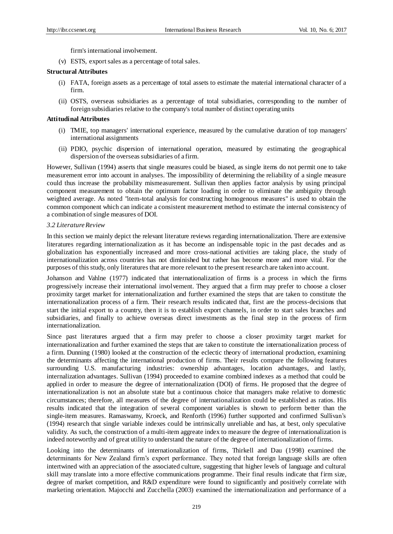firm's international involvement.

(v) ESTS, export sales as a percentage of total sales.

#### **Structural Attributes**

- (i) FATA, foreign assets as a percentage of total assets to estimate the material international character of a firm.
- (ii) OSTS, overseas subsidiaries as a percentage of total subsidiaries, corresponding to the number of foreign subsidiaries relative to the company's total number of distinct operating units

#### **Attitudinal Attributes**

- (i) TMIE, top managers' international experience, measured by the cumulative duration of top managers' international assignments
- (ii) PDIO, psychic dispersion of international operation, measured by estimating the geographical dispersion of the overseas subsidiaries of a firm.

However, Sullivan (1994) asserts that single measures could be biased, as single items do not permit one to take measurement error into account in analyses. The impossibility of determining the reliability of a single measure could thus increase the probability mismeasurement. Sullivan then applies factor analysis by using principal component measurement to obtain the optimum factor loading in order to eliminate the ambiguity through weighted average. As noted "item-total analysis for constructing homogenous measures" is used to obtain the common component which can indicate a consistent measurement method to estimate the internal consistency of a combination of single measures of DOI.

#### *3.2 Literature Review*

In this section we mainly depict the relevant literature reviews regarding internationalization. There are extensive literatures regarding internationalization as it has become an indispensable topic in the past decades and as globalization has exponentially increased and more cross-national activities are taking place, the study of internationalization across countries has not diminished but rather has become more and more vital. For the purposes of this study, only literatures that are more relevant to the present research are taken into account.

Johanson and Vahlne (1977) indicated that internationalization of firms is a process in which the firms progressively increase their international involvement. They argued that a firm may prefer to choose a closer proximity target market for internationalization and further examined the steps that are taken to constitute the internationalization process of a firm. Their research results indicated that, first are the process-decisions that start the initial export to a country, then it is to establish export channels, in order to start sales branches and subsidiaries, and finally to achieve overseas direct investments as the final step in the process of firm internationalization.

Since past literatures argued that a firm may prefer to choose a closer proximity target market for internationalization and further examined the steps that are taken to constitute the internationalization process of a firm. Dunning (1980) looked at the construction of the eclectic theory of international production, examining the determinants affecting the international production of firms. Their results compare the following features surrounding U.S. manufacturing industries: ownership advantages, location advantages, and lastly, internalization advantages. Sullivan (1994) proceeded to examine combined indexes as a method that could be applied in order to measure the degree of internationalization (DOI) of firms. He proposed that the degree of internationalization is not an absolute state but a continuous choice that managers make relative to domestic circumstances; therefore, all measures of the degree of internationalization could be established as ratios. His results indicated that the integration of several component variables is shown to perform better than the single-item measures. Ramaswamy, Kroeck, and Renforth (1996) further supported and confirmed Sullivan's (1994) research that single variable indexes could be intrinsically unreliable and has, at best, only speculative validity. As such, the construction of a multi-item aggreate index to measure the degree of internationalization is indeed noteworthy and of great utility to understand the nature of the degree of internationalization of firms.

Looking into the determinants of internationalization of firms, Thirkell and Dau (1998) examined the determinants for New Zealand firm's export performance. They noted that foreign language skills are often intertwined with an appreciation of the associated culture, suggesting that higher levels of language and cultural skill may translate into a more effective communications programme. Their final results indicate that firm size, degree of market competition, and R&D expenditure were found to significantly and positively correlate with marketing orientation. Majocchi and Zucchella (2003) examined the internationalization and performance of a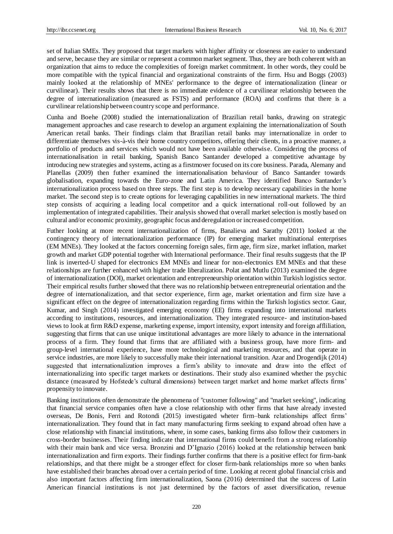set of Italian SMEs. They proposed that target markets with higher affinity or closeness are easier to understand and serve, because they are similar or represent a common market segment. Thus, they are both coherent with an organization that aims to reduce the complexities of foreign market commitment. In other words, they could be more compatible with the typical financial and organizational constraints of the firm. Hsu and Boggs (2003) mainly looked at the relationship of MNEs' performance to the degree of internationalization (linear or curvilinear). Their results shows that there is no immediate evidence of a curvilinear relationship between the degree of internationalization (measured as FSTS) and performance (ROA) and confirms that there is a curvilinear relationship between country scope and performance.

Cunha and Boehe (2008) studied the internationalization of Brazilian retail banks, drawing on strategic management approaches and case research to develop an argument explaining the internationalization of South American retail banks. Their findings claim that Brazilian retail banks may internationalize in order to differentiate themselves vis- $\lambda$ -vis their home country competitors, offering their clients, in a proactive manner, a portfolio of products and services which would not have been available otherwise. Considering the process of internationalisation in retail banking, Spanish Banco Santander developed a competitive advantage by introducing new strategies and systems, acting as a firstmover focused on its core business. Parada, Alemany and Planellas (2009) then futher examined the internationalisation behaviour of Banco Santander towards globalisation, expanding towards the Euro-zone and Latin America. They identified Banco Santander's internationalization process based on three steps. The first step is to develop necessary capabilities in the home market. The second step is to create options for leveraging capabilities in new international markets. The third step consists of acquiring a leading local competitor and a quick international roll-out followed by an implementation of integrated capabilities. Their analysis showed that overall market selection is mostly based on cultural and/or economic proximity, geographic focus and deregulation or increased competition.

Futher looking at more recent internationalization of firms, Banalieva and Sarathy (2011) looked at the contingency theory of internationalization performance (IP) for emerging market multinational enterprises (EM MNEs). They looked at the factors concerning foreign sales, firm age, firm size, market inflation, market growth and market GDP potential together with International performance. Their final results suggests that the IP link is inverted-U shaped for electronics EM MNEs and linear for non-electronics EM MNEs and that these relationships are further enhanced with higher trade liberalization. Polat and Mutlu (2013) examined the degree of internationalization (DOI), market orientation and entrepreneurship orientation within Turkish logistics sector. Their empirical results further showed that there was no relationship between entrepreneurial orientation and the degree of internationalization, and that sector experience, firm age, market orientation and firm size have a significant effect on the degree of internationalization regarding firms within the Turkish logistics sector. Gaur, Kumar, and Singh (2014) investigated emerging economy (EE) firms expanding into international markets according to institutions, resources, and internationalization. They integrated resource- and institution-based views to look at firm R&D expense, marketing expense, import intensity, export intensity and foreign affliliation, suggesting that firms that can use unique institutional advantages are more likely to advance in the international process of a firm. They found that firms that are affiliated with a business group, have more firm- and group-level international experience, have more technological and marketing resources, and that operate in service industries, are more likely to successfully make their international transition. Azar and Drogendijk (2014) suggested that internationalization improves a firm's ability to innovate and draw into the effect of internationalizing into specific target markets or destinations. Their study also examined whether the psychic distance (measured by Hofstede's cultural dimensions) between target market and home market affects firms' propensity to innovate.

Banking institutions often demonstrate the phenomena of "customer following" and "market seeking", indicating that financial service companies often have a close relationship with other firms that have already invested overseas, De Bonis, Ferri and Rotondi (2015) investigated wheter firm–bank relationships affect firms' internationalization. They found that in fact many manufacturing firms seeking to expand abroad often have a close relationship with financial institutions, where, in some cases, banking firms also follow their customers in cross-border businesses. Their finding indicate that international firms could benefit from a strong relationship with their main bank and vice versa. Bronzini and D'Ignazio (2016) looked at the relationship between bank internationalization and firm exports. Their findings further confirms that there is a positive effect for firm-bank relationships, and that there might be a stronger effect for closer firm-bank relationships more so when banks have established their branches abroad over a certain period of time. Looking at recent global financial crisis and also important factors affecting firm internationalization, Saona (2016) determined that the success of Latin American financial institutions is not just determined by the factors of asset diversification, revenue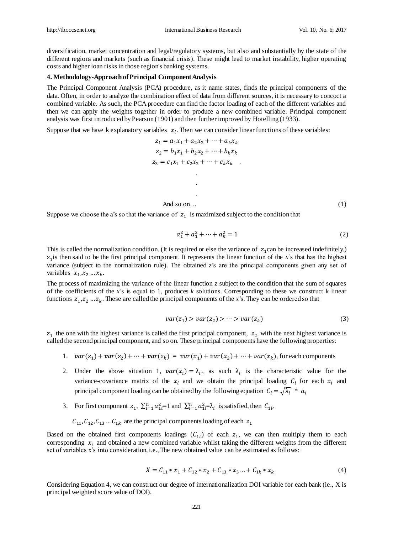diversification, market concentration and legal/regulatory systems, but also and substantially by the state of the different regions and markets (such as financial crisis). These might lead to market instability, higher operating costs and higher loan risks in those region's banking systems.

# **4. Methodology-Approach of Principal Component Analysis**

The Principal Component Analysis (PCA) procedure, as it name states, finds the principal components of the data. Often, in order to analyze the combination effect of data from different sources, it is necessary to concoct a combined variable. As such, the PCA procedure can find the factor loading of each of the different variables and then we can apply the weights together in order to produce a new combined variable. Principal component analysis was first introduced by Pearson (1901) and then further improved by Hotelling (1933).

Suppose that we have k explanatory variables  $x_i$ . Then we can consider linear functions of these variables:

$$
z_1 = a_1 x_1 + a_2 x_2 + \dots + a_k x_k
$$
  
\n
$$
z_2 = b_1 x_1 + b_2 x_2 + \dots + b_k x_k
$$
  
\n
$$
z_3 = c_1 x_1 + c_2 x_2 + \dots + c_k x_k
$$

Suppose we choose the a's so that the variance of  $z<sub>1</sub>$  is maximized subject to the condition that

$$
a_1^2 + a_1^2 + \dots + a_k^2 = 1 \tag{2}
$$

This is called the normalization condition. (It is required or else the variance of  $z_1$ can be increased indefinitely.)  $z_1$  is then said to be the first principal component. It represents the linear function of the *x*'s that has the highest variance (subject to the normalization rule). The obtained *z*'s are the principal components given any set of variables  $x_1, x_2 \ldots x_k$ .

The process of maximizing the variance of the linear function z subject to the condition that the sum of squares of the coefficients of the *x*'s is equal to 1, produces *k* solutions. Corresponding to these we construct k linear functions  $z_1, z_2, \ldots, z_k$ . These are called the principal components of the *x*'s. They can be ordered so that

$$
var(z_1) > var(z_2) > \dots > var(z_k)
$$
\n(3)

 $z_1$  the one with the highest variance is called the first principal component,  $z_2$  with the next highest variance is called the second principal component, and so on. These principal components have the following properties:

- 1.  $var(z_1) + var(z_2) + \cdots + var(z_k) = var(x_1) + var(x_2) + \cdots + var(x_k)$ , for each components
- 2. Under the above situation 1,  $var(x_i) = \lambda_i$ , as such  $\lambda_i$  is the characteristic value for the variance-covariance matrix of the  $x_i$  and we obtain the principal loading  $C_i$  for each  $x_i$  and principal component loading can be obtained by the following equation  $C_i = \sqrt{\lambda_i} * a_i$
- 3. For first component  $z_1$ ,  $\sum_{i=1}^n a_{1i}^2 = 1$  and  $\sum_{i=1}^n a_{1i}^2 = \lambda_i$  is satisfied, then  $C_{1i}$ ,

 $C_{11}$ ,  $C_{12}$ ,  $C_{13}$  ...  $C_{1k}$  are the principal components loading of each  $z_1$ 

Based on the obtained first components loadings  $(C_{1i})$  of each  $z_1$ , we can then multiply them to each corresponding  $x_i$  and obtained a new combined variable whilst taking the different weights from the different set of variables x's into consideration, i.e., The new obtained value can be estimated as follows:

$$
X = C_{11} * x_1 + C_{12} * x_2 + C_{13} * x_3 \dots + C_{1k} * x_k \tag{4}
$$

Considering Equation 4, we can construct our degree of internationalization DOI variable for each bank (ie., X is principal weighted score value of DOI).

And so on...  $(1)$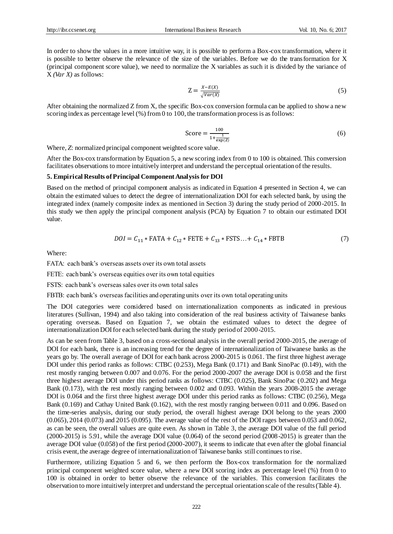In order to show the values in a more intuitive way, it is possible to perform a Box-cox transformation, where it is possible to better observe the relevance of the size of the variables. Before we do the transformation for X (principal component score value), we need to normalize the X variables as such it is divided by the variance of X *(Var X)* as follows:

$$
Z = \frac{X - E(X)}{\sqrt{Var(X)}}\tag{5}
$$

After obtaining the normalized Z from X, the specific Box-cox conversion formula can be applied to show a new scoring index as percentage level (%) from 0 to 100, the transformation process is as follows:

$$
\text{Score} = \frac{100}{1 + \frac{1}{\exp(Z)}}\tag{6}
$$

Where, *Z*: normalized principal component weighted score value.

After the Box-cox transformation by Equation 5, a new scoring index from 0 to 100 is obtained. This conversion facilitates observations to more intuitively interpret and understand the perceptual orientation of the results.

#### **5. Empirical Results of Principal Component Analysis for DOI**

Based on the method of principal component analysis as indicated in Equation 4 presented in Section 4, we can obtain the estimated values to detect the degree of internationalization DOI for each selected bank, by using the integrated index (namely composite index as mentioned in Section 3) during the study period of 2000-2015. In this study we then apply the principal component analysis (PCA) by Equation 7 to obtain our estimated DOI value.

$$
DOI = C_{11} * FATA + C_{12} * FETE + C_{13} * FSTS... + C_{14} * FBTB
$$
 (7)

Where:

FATA: each bank's overseas assets over its own total assets

FETE: each bank's overseas equities over its own total equities

FSTS: each bank's overseas sales over its own total sales

FBTB: each bank's overseas facilities and operating units over its own total operating units

The DOI categories were considered based on internationalization components as indicated in previous literatures (Sullivan, 1994) and also taking into consideration of the real business activity of Taiwanese banks operating overseas. Based on Equation 7, we obtain the estimated values to detect the degree of internationalization DOI for each selected bank during the study period of 2000-2015.

As can be seen from Table 3, based on a cross-sectional analysis in the overall period 2000-2015, the average of DOI for each bank, there is an increasing trend for the degree of internationalization of Taiwanese banks as the years go by. The overall average of DOI for each bank across 2000-2015 is 0.061. The first three highest average DOI under this period ranks as follows: CTBC (0.253), Mega Bank (0.171) and Bank SinoPac (0.149), with the rest mostly ranging between 0.007 and 0.076. For the period 2000-2007 the average DOI is 0.058 and the first three highest average DOI under this period ranks as follows: CTBC (0.025), Bank SinoPac (0.202) and Mega Bank (0.173), with the rest mostly ranging between 0.002 and 0.093. Within the years 2008-2015 the average DOI is 0.064 and the first three highest average DOI under this period ranks as follows: CTBC (0.256), Mega Bank (0.169) and Cathay United Bank (0.162), with the rest mostly ranging between 0.011 and 0.096. Based on the time-series analysis, during our study period, the overall highest average DOI belong to the years 2000 (0.065), 2014 (0.073) and 2015 (0.095). The average value of the rest of the DOI rages between 0.053 and 0.062, as can be seen, the overall values are quite even. As shown in Table 3, the average DOI value of the full period (2000-2015) is 5.91, while the average DOI value (0.064) of the second period (2008-2015) is greater than the average DOI value (0.058) of the first period (2000-2007), it seems to indicate that even after the global financial crisis event, the average degree of internationalization of Taiwanese banks still continues to rise.

Furthermore, utilizing Equation 5 and 6, we then perform the Box-cox transformation for the normalized principal component weighted score value, where a new DOI scoring index as percentage level (%) from 0 to 100 is obtained in order to better observe the relevance of the variables. This conversion facilitates the observation to more intuitively interpret and understand the perceptual orientation scale of the results (Table 4).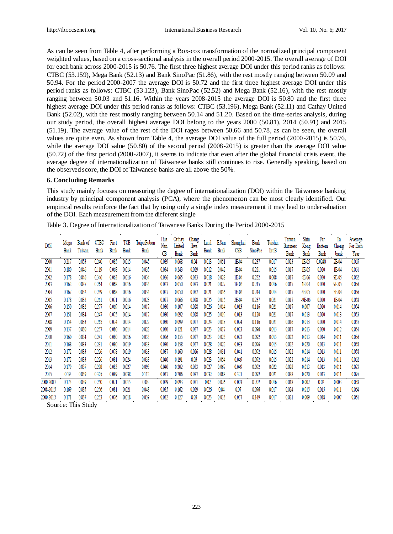As can be seen from Table 4, after performing a Box-cox transformation of the normalized principal component weighted values, based on a cross-sectional analysis in the overall period 2000-2015. The overall average of DOI for each bank across 2000-2015 is 50.76. The first three highest average DOI under this period ranks as follows: CTBC (53.159), Mega Bank (52.13) and Bank SinoPac (51.86), with the rest mostly ranging between 50.09 and 50.94. For the period 2000-2007 the average DOI is 50.72 and the first three highest average DOI under this period ranks as follows: CTBC (53.123), Bank SinoPac (52.52) and Mega Bank (52.16), with the rest mostly ranging between 50.03 and 51.16. Within the years 2008-2015 the average DOI is 50.80 and the first three highest average DOI under this period ranks as follows: CTBC (53.196), Mega Bank (52.11) and Cathay United Bank (52.02), with the rest mostly ranging between 50.14 and 51.20. Based on the time-series analysis, during our study period, the overall highest average DOI belong to the years 2000 (50.81), 2014 (50.91) and 2015 (51.19). The average value of the rest of the DOI rages between 50.66 and 50.78, as can be seen, the overall values are quite even. As shown from Table 4, the average DOI value of the full period (2000-2015) is 50.76, while the average DOI value (50.80) of the second period (2008-2015) is greater than the average DOI value (50.72) of the first period (2000-2007), it seems to indicate that even after the global financial crisis event, the average degree of internationalization of Taiwanese banks still continues to rise. Generally speaking, based on the observed score, the DOI of Taiwanese banks are all above the 50%.

## **6. Concluding Remarks**

This study mainly focuses on measuring the degree of internationalization (DOI) within the Taiwanese banking industry by principal component analysis (PCA), where the phenomenon can be most clearly identified. Our empirical results reinforce the fact that by using only a single index measurement it may lead to undervaluation of the DOI. Each measurement from the different single

| DOI       | Mega<br>Bank | Bank of<br>Taiwan | СТВС<br>Bank | First<br>Bank | TCB<br>Bank | TaipeiFubon<br><b>Bank</b> | Hua<br>Nan<br>CВ | Cathay<br>United<br>Bank | Chang<br>Hwa<br>Bank | Land<br>Bank | <b>E.Sun</b><br>Bank | Shanghai<br>CSB | Bank<br><b>SinoPac</b> | Taishin<br>Int B | Taiwan<br><b>Business</b><br>Bank | Shin<br>Kong<br>Bank | Far<br>Eastem<br>Bank | Ta<br>Chong<br>bank | Average<br>For Each<br>Year |
|-----------|--------------|-------------------|--------------|---------------|-------------|----------------------------|------------------|--------------------------|----------------------|--------------|----------------------|-----------------|------------------------|------------------|-----------------------------------|----------------------|-----------------------|---------------------|-----------------------------|
| 2000      | 0.217        | 0.053             | 0.240        | 0.085         | 0.015       | 0.045                      | 0.039            | 0.068                    | 0.04                 | 0.013        | 0.051                | 1E-04           | 0.237                  | 0.017            | 0.023                             | 1E 05                | 0.0240                | 2E-04               | 0.065                       |
|           |              |                   |              |               |             |                            |                  |                          |                      |              |                      |                 |                        |                  |                                   |                      |                       |                     |                             |
| 2001      | 0.180        | 0.046             | 0.119        | 0.068         | 0.014       | 0.035                      | 0.034            | 0.243                    | 0.029                | 0.012        | 0.042                | 1E-04           | 0.221                  | 0.015            | 0.017                             | 1E 05                | 0.020                 | 1E-04               | 0.061                       |
| 2002      | 0.178        | 0.046             | 0.346        | 0.063         | 0.016       | 0.034                      | 0.026            | 0.065                    | 0.033                | 0.018        | 0.028                | 1E-04           | 0.222                  | 0.008            | 0.017                             | 4E-06                | 0.020                 | 9E 05               | 0.062                       |
| 2003      | 0.162        | 0.037             | 0.264        | 0.068         | 0.016       | 0.034                      | 0.023            | 0.050                    | 0.033                | 0.021        | 0.027                | 1E-04           | 0.215                  | 0.016            | 0.017                             | 1E-04                | 0.020                 | 9E 05               | 0.056                       |
| 2004      | 0.167        | 0.032             | 0.249        | 0.068         | 0.016       | 0.034                      | 0.027            | 0.050                    | 0.032                | 0.021        | 0.016                | 1E-04           | 0.244                  | 0.014            | 0.017                             | 4E 05                | 0.020                 | 3E-04               | 0.056                       |
| 2005      | 0.178        | 0.032             | 0.261        | 0.071         | 0.016       | 0.023                      | 0.027            | 0.066                    | 0.028                | 0.025        | 0.015                | 2E-04           | 0.237                  | 0.021            | 0.017                             | -9E 06               | 0.020                 | 1E-04               | 0.058                       |
| 2006      | 0.150        | 0.032             | 0.277        | 0.069         | 0.014       | 0.017                      | 0.030            | 0.107                    | 0.028                | 0.026        | 0.014                | 0.013           | 0.116                  | 0.021            | 0.017                             | 0.007                | 0.020                 | 0.014               | 0.054                       |
| 2007      | 0.151        | 0.034             | 0.247        | 0.075         | 0.014       | 0.017                      | 0.030            | 0.092                    | 0.028                | 0.025        | 0.019                | 0.013           | 0.120                  | 0.021            | 0.017                             | 0.013                | 0.020                 | 0.013               | 0.053                       |
| 2008      | 0.154        | 0.033             | 0.265        | 0.074         | 0.014       | 0.022                      | 0.030            | 0.099                    | 0.027                | 0.024        | 0.018                | 0.024           | 0.116                  | 0.021            | 0.016                             | 0.013                | 0.020                 | 0.014               | 0.055                       |
| 2009      | 0.157        | 0.030             | 0.257        | 0.080         | 0.014       | 0.022                      | 0.030            | 0.121                    | 0.027                | 0.023        | 0.017                | 0.023           | 0.096                  | 0.015            | 0.017                             | 0.013                | 0.020                 | 0.012               | 0.054                       |
| 2010      | 0.160        | 0.034             | 0.241        | 0.080         | 0.016       | 0.033                      | 0.026            | 0.155                    | 0.027                | 0.023        | 0.023                | 0.023           | 0.092                  | 0.015            | 0.022                             | 0.013                | 0.014                 | 0.011               | 0.056                       |
| 2011      | 0.168        | 0.033             | 0.231        | 0.080         | 0.019       | 0.033                      | 0.030            | 0.158                    | 0.027                | 0.028        | 0.022                | 0.033           | 0.096                  | 0.015            | 0.022                             | 0.020                | 0.013                 | 0.011               | 0.058                       |
| 2012      | 0.172        | 0.033             | 0.226        | 0.078         | 0.019       | 0.033                      | 0.037            | 0.160                    | 0.026                | 0.028        | 0.031                | 0.041           | 0.092                  | 0.015            | 0.022                             | 0.014                | 0.013                 | 0.011               | 0.058                       |
| 2013      | 0.172        | 0.033             | 0.226        | 0.081         | 0.024       | 0.033                      | 0.040            | 0.191                    | 0.03                 | 0.023        | 0.054                | 0.049           | 0.092                  | 0.015            | 0.022                             | 0.014                | 0.013                 | 0.011               | 0.062                       |
| 2014      | 0.179        | 0.037             | 0.298        | 0.083         | 0.027       | 0.093                      | 0.040            | 0.202                    | 0.033                | 0.027        | 0.067                | 0.049           | 0.092                  | 0.022            | 0.028                             | 0.013                | 0.013                 | 0.011               | 0.073                       |
| 2015      | 0.19         | 0.049             | 0.305        | 0.089         | 0.038       | 0.112                      | 0.047            | 0.206                    | 0.037                | 0.032        | 0.088                | 0.321           | 0.092                  | 0.021            | 0.038                             | 0.020                | 0.013                 | 0.011               | 0.095                       |
| 2000-2007 | 0.173        | 0.039             | 0.250        | 0.071         | 0.015       | 0.03                       | 0.029            | 0.093                    | 0.031                | 0.02         | 0.026                | 0.003           | 0.202                  | 0.016            | 0.018                             | 0.002                | 0.02                  | 0.003               | 0.058                       |
| 2008-2015 | 0.169        | 0.035             | 0.256        | 0.081         | 0.021       | 0.048                      | 0.035            | 0.162                    | 0.029                | 0.026        | 0.04                 | 0.07            | 0.096                  | 0.017            | 0.024                             | 0.015                | 0.015                 | 0.011               | 0.064                       |
| 2000-2015 | 0.171        | 0.037             | 0.253        | 0.076         | 0.018       | 0.039                      | 0.032            | 0.127                    | 0.03                 | 0.023        | 0.033                | 0.037           | 0.149                  | 0.017            | 0.021                             | 0.009                | 0.018                 | 0.007               | 0.061                       |

Table 3. Degree of Internationalization of Taiwanese Banks During the Period 2000-2015

Source: This Study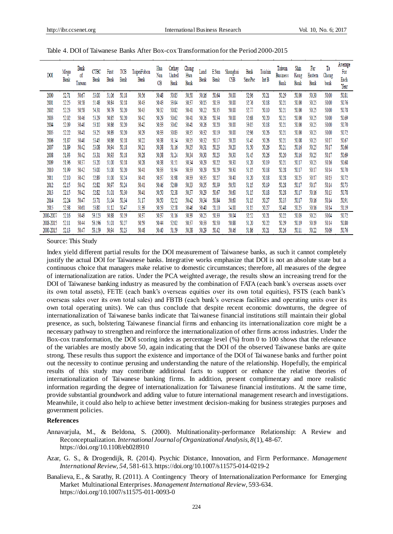| DOI       | Mega<br>Bank | Bank<br>of<br>Taiwan | CTBC<br>Bank | First<br>Bank | TCB<br>Bank | TaipeiFubon<br>Bank | Hua<br>Nan<br>CВ | Cathay<br>United<br>Bank | Chang<br>Hwa<br>Bank | Land<br>Bank | E.Sun<br>Bank | Shanghai<br>CSB | Bank<br><b>SinoPac</b> | Taishin<br>Int B | Taiwan<br><b>Business</b><br>Bank | Shin<br>Kong<br>Bank | Far<br>Eastem<br>Bank | Ta<br>Chong<br>bank | Average<br>For<br>Each<br>Year |
|-----------|--------------|----------------------|--------------|---------------|-------------|---------------------|------------------|--------------------------|----------------------|--------------|---------------|-----------------|------------------------|------------------|-----------------------------------|----------------------|-----------------------|---------------------|--------------------------------|
| 2000      | 52.71        | 50.67                | 53.00        | 51.06         | 50.18       | 50.56               | 50.48            | 50.85                    | 50.50                | 50.16        | 50.64         | 50.00           | 52.96                  | 50.21            | 50.29                             | 50.00                | 50.30                 | 50.00               | 50.81                          |
| 2001      | 52.25        | 50.58                | 51.48        | 50.84         | 50.18       | 50.43               | 50.43            | 53.04                    | 50.37                | 50.15        | 50.53         | 50.00           | 52.76                  | 50.18            | 50.21                             | 50.00                | 50.25                 | 50.00               | 50.76                          |
| 2002      | 52.23        | 50.58                | 54.31        | 50.79         | 50.20       | 50.43               | 50.32            | 50.82                    | 50.41                | 50.22        | 50.35         | 50.00           | 52.77                  | 50.10            | 50.21                             | 50.00                | 50.25                 | 50.00               | 50.78                          |
| 2003      | 52.02        | 50.46                | 53.29        | 50.85         | 50.20       | 50.42               | 50.29            | 50.62                    | 50.41                | 50.26        | 50.34         | 50.00           | 52.68                  | 50.20            | 50.21                             | 50.00                | 50.25                 | 50.00               | 50.69                          |
| 2004      | 52.09        | 50.40                | 53.10        | 50.86         | 50.20       | 50.42               | 50.33            | 50.62                    | 50.41                | 50.26        | 50.20         | 50.00           | 53.05                  | 50.18            | 50.21                             | 50.00                | 50.25                 | 50.00               | 50.70                          |
| 2005      | 52.22        | 50.41                | 53.25        | 50.89         | 50.20       | 50.29               | 50.33            | 50.83                    | 50.35                | 50.32        | 50.19         | 50.00           | 52.96                  | 50.26            | 50.21                             | 50.00                | 50.25                 | 50.00               | 50.72                          |
| 2006      | 51.87        | 50.40                | 53.45        | 50.86         | 50.18       | 50.22               | 50.38            | 51.34                    | 50.35                | 50.32        | 50.17         | 50.20           | 51.45                  | 50.26            | 50.21                             | 50.08                | 50.25                 | 50.17               | 50.67                          |
| 2007      | 51.89        | 50.42                | 53.08        | 50.94         | 50.18       | 50.21               | 50.38            | 51.16                    | 50.35                | 50.31        | 50.23         | 50.20           | 51.50                  | 50.26            | 50.21                             | 50.16                | 50.25                 | 50.17               | 50.66                          |
| 2008      | 51.93        | 50.42                | 53.31        | 50.93         | 50.18       | 50.28               | 50.38            | 51.24                    | 50.34                | 50.30        | 50.23         | 50.30           | 51.45                  | 50.26            | 50.20                             | 50.16                | 50.25                 | 50.17               | 50.69                          |
| 2009      | 51.96        | 50.37                | 53.20        | 51.00         | 50.18       | 50.28               | 50.38            | 51.51                    | 50.34                | 50.29        | 50.22         | 50.30           | 51.20                  | 50.19            | 50.21                             | 50.17                | 50.25                 | 50.16               | 50.68                          |
| 2010      | 51.99        | 50.42                | 53.00        | 51.00         | 50.20       | 50.41               | 50.33            | 51.94                    | 50.33                | 50.29        | 50.29         | 50.30           | 51.15                  | 50.18            | 50.28                             | 50.17                | 50.17                 | 50.14               | 50.70                          |
| 2011      | 52.10        | 50.42                | 52.89        | 51.00         | 50.24       | 50.41               | 50.37            | 51.98                    | 50.33                | 50.35        | 50.27         | 50.40           | 51.20                  | 50.18            | 50.28                             | 50.25                | 50.17                 | 50.13               | 50.72                          |
| 2012      | 52.15        | 50.42                | 52.82        | 50.97         | 50.24       | 50.41               | 50.46            | 52.00                    | 50.33                | 50.35        | 50.39         | 50.50           | 51.15                  | 50.19            | 50.28                             | 50.17                | 50.17                 | 50.14               | 50.73                          |
| 2013      | 52.15        | 50.42                | 52.82        | 51.01         | 50.30       | 50.41               | 50.50            | 52.38                    | 50.37                | 50.29        | 50.67         | 50.60           | 51.15                  | 50.18            | 50.28                             | 50.17                | 50.16                 | 50.13               | 50.78                          |
| 2014      | 52.24        | 50.47                | 53.71        | 51.04         | 50.34       | 51.17               | 50.50            | 52.52                    | 50.42                | 50.34        | 50.84         | 50.60           | 51.15                  | 50.27            | 50.35                             | 50.17                | 50.16                 | 50.14               | 50.91                          |
| 2015      | 52.38        | 50.61                | 53.80        | 51.12         | 50.47       | 51.39               | 50.59            | 52.58                    | 50.46                | 50.40        | 51.10         | 54.00           | 51.15                  | 50.27            | 50.48                             | 50.25                | 50.16                 | 50.14               | 51.19                          |
| 2000-2007 | 52.16        | 50.49                | 53.123       | 50.88         | 50.19       | 50.37               | 50.37            | 51.16                    | 50.39                | 50.25        | 50.33         | 50.04           | 52.52                  | 50.21            | 50.22                             | 50.03                | 50.25                 | 50.04               | 50.72                          |
| 2008-2015 | 52.11        | 50.44                | 53.196       | 51.01         | 50.27       | 50.59               | 50.44            | 52.02                    | 50.37                | 50.33        | 50.50         | 50.88           | 51.20                  | 50.22            | 50.29                             | 50.19                | 50.19                 | 50.14               | 50.80                          |
| 2000-2015 | 52.13        | 50.47                | 53.159       | 50.94         | 50.23       | 50.48               | 50.40            | 51.59                    | 50.38                | 50.29        | 50.42         | 50.46           | 51.86                  | 50.21            | 50.26                             | 50.11                | 50.22                 | 50.09               | 50.76                          |

Source: This Study

Index yield different partial results for the DOI measurement of Taiwanese banks, as such it cannot completely justify the actual DOI for Taiwanese banks. Integrative works emphasize that DOI is not an absolute state but a continuous choice that managers make relative to domestic circumstances; therefore, all measures of the degree of internationalization are ratios. Under the PCA weighted average, the results show an increasing trend for the DOI of Taiwanese banking industry as measured by the combination of FATA (each bank's overseas assets over its own total assets), FETE (each bank's overseas equities over its own total equities), FSTS (each bank's overseas sales over its own total sales) and FBTB (each bank's overseas facilities and operating units over its own total operating units). We can thus conclude that despite recent economic downturns, the degree of internationalization of Taiwanese banks indicate that Taiwanese financial institutions still maintain their global presence, as such, bolstering Taiwanese financial firms and enhancing its internationalization core might be a necessary pathway to strengthen and reinforce the internationalization of other firms across industries. Under the Box-cox transformation, the DOI scoring index as percentage level (%) from 0 to 100 shows that the relevance of the variables are mostly above 50, again indicating that the DOI of the observed Taiwanese banks are quite strong. These results thus support the existence and importance of the DOI of Taiwanese banks and further point out the necessity to continue perusing and understanding the nature of the relationship. Hopefully, the empirical results of this study may contribute additional facts to support or enhance the relative theories of internationalization of Taiwanese banking firms. In addition, present complimentary and more realistic information regarding the degree of internationalization for Taiwanese financial institutions. At the same time, provide substantial groundwork and adding value to future international management research and investigations. Meanwhile, it could also help to achieve better investment decision-making for business strategies purposes and government policies.

# **References**

- Annavarjula, M., & Beldona, S. (2000). Multinationality-performance Relationship: A Review and Reconceptualization. *International Journal of Organizational Analysis, 8*(1), 48-67. https://doi.org/10.1108/eb028910
- Azar, G. S., & Drogendijk, R. (2014). Psychic Distance, Innovation, and Firm Performance. *Management International Review, 54,* 581-613. https://doi.org/10.1007/s11575-014-0219-2
- Banalieva, E., & Sarathy, R. (2011). A Contingency Theory of Internationalization Performance for Emerging Market Multinational Enterprises. *Management International Review*, 593-634. https://doi.org/10.1007/s11575-011-0093-0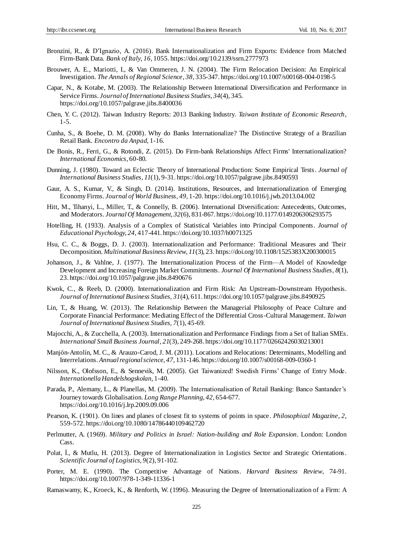- Bronzini, R., & D'Ignazio, A. (2016). Bank Internationalization and Firm Exports: Evidence from Matched Firm-Bank Data. *Bank of Italy, 16,* 1055. https://doi.org/10.2139/ssrn.2777973
- Brouwer, A. E., Mariotti, I., & Van Ommeren, J. N. (2004). The Firm Relocation Decision: An Empirical Investigation. *The Annals of Regional Science, 38,* 335-347. https://doi.org/10.1007/s00168-004-0198-5
- Capar, N., & Kotabe, M. (2003). The Relationship Between International Diversification and Performance in Service Firms. *Journal of International Business Studies*, *34*(4), 345. https://doi.org/10.1057/palgrave.jibs.8400036
- Chen, Y. C. (2012). Taiwan Industry Reports: 2013 Banking Industry. *Taiwan Institute of Economic Research*, 1-5.
- Cunha, S., & Boehe, D. M. (2008). Why do Banks Internationalize? The Distinctive Strategy of a Brazilian Retail Bank. *Encontro da Anpad,* 1-16.
- De Bonis, R., Ferri, G., & Rotondi, Z. (2015). Do Firm-bank Relationships Affect Firms' Internationalization? *International Economics*, 60-80.
- Dunning, J. (1980). Toward an Eclectic Theory of International Production: Some Empirical Tests. *Journal of International Business Studies, 11*(1), 9-31. https://doi.org/10.1057/palgrave.jibs.8490593
- Gaur, A. S., Kumar, V., & Singh, D. (2014). Institutions, Resources, and Internationalization of Emerging Economy Firms. *Journal of World Business, 49,* 1-20. https://doi.org/10.1016/j.jwb.2013.04.002
- Hitt, M., Tihanyi, L., Miller, T., & Connelly, B. (2006). International Diversification: Antecedents, Outcomes, and Moderators. *Journal Of Management, 32*(6), 831-867. https://doi.org/10.1177/0149206306293575
- Hotelling, H. (1933). Analysis of a Complex of Statistical Variables into Principal Components. *Journal of Educational Psychology, 24,* 417-441. https://doi.org/10.1037/h0071325
- Hsu, C. C., & Boggs, D. J. (2003). Internationalization and Performance: Traditional Measures and Their Decomposition. *Multinational Business Review, 11*(3), 23. https://doi.org/10.1108/1525383X200300015
- Johanson, J., & Vahlne, J. (1977). The Internationalization Process of the Firm—A Model of Knowledge Development and Increasing Foreign Market Commitments. *Journal Of International Business Studies, 8*(1), 23. https://doi.org/10.1057/palgrave.jibs.8490676
- Kwok, C., & Reeb, D. (2000). Internationalization and Firm Risk: An Upstream-Downstream Hypothesis. *Journal of International Business Studies, 31*(4), 611. https://doi.org/10.1057/palgrave.jibs.8490925
- Lin, T., & Huang, W. (2013). The Relationship Between the Managerial Philosophy of Peace Culture and Corporate Financial Performance: Mediating Effect of the Differential Cross-Cultural Management. *Taiwan Journal of International Business Studies, 7*(1), 45-69.
- Majocchi, A., & Zucchella, A. (2003). Internationalization and Performance Findings from a Set of Italian SMEs. *International Small Business Journal, 21*(3), 249-268. https://doi.org/10.1177/02662426030213001
- Manjón-Antolín, M. C., & Arauzo-Carod, J. M. (2011). Locations and Relocations: Determinants, Modelling and Interrelations. *Annual regional science*, *47,* 131-146. https://doi.org/10.1007/s00168-009-0360-1
- Nilsson, K., Olofsson, E., & Sennevik, M. (2005). Get Taiwanized! Swedish Firms' Change of Entry Mode. *Internationella Handelshogskolan*, 1-40.
- Parada, P., Alemany, L., & Planellas, M. (2009). The Internationalisation of Retail Banking: Banco Santander's Journey towards Globalisation. *Long Range Planning, 42,* 654-677. https://doi.org/10.1016/j.lrp.2009.09.006
- Pearson, K. (1901). On lines and planes of closest fit to systems of points in space. *Philosophical Magazine, 2,*  559-572. https://doi.org/10.1080/14786440109462720
- Perlmutter, A. (1969). *Military and Politics in Israel: Nation-building and Role Expansion*. London: London Cass.
- Polat, İ., & Mutlu, H. (2013). Degree of Internationalization in Logistics Sector and Strategic Orientations. *Scientific Journal of Logistics, 9*(2), 91-102.
- Porter, M. E. (1990). The Competitive Advantage of Nations. *Harvard Business Review*, 74-91. https://doi.org/10.1007/978-1-349-11336-1
- Ramaswamy, K., Kroeck, K., & Renforth, W. (1996). Measuring the Degree of Internationalization of a Firm: A